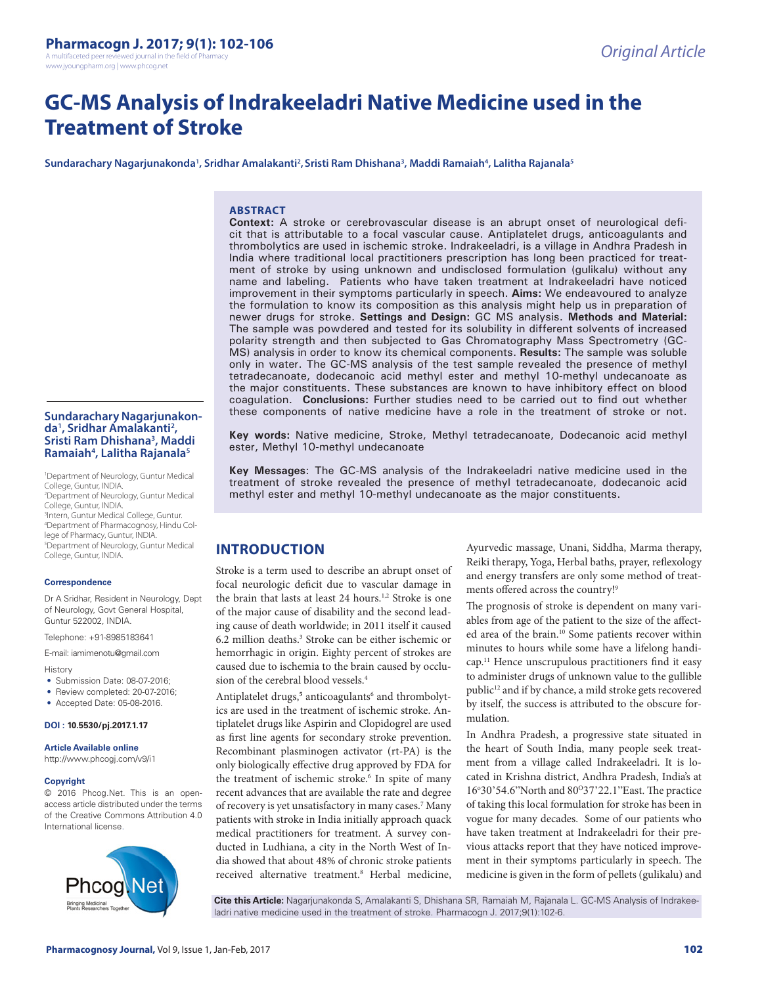A multifaceted peer reviewed journal in the field of Pharmacy www.jyoungpharm.org | www.phcog.net

# **GC-MS Analysis of Indrakeeladri Native Medicine used in the Treatment of Stroke**

 $\boldsymbol{\mathsf{S}}$ undarachary Nagarjunakonda<sup>1</sup>, Sridhar Amalakanti<sup>2</sup>, Sristi Ram Dhishana<sup>3</sup>, Maddi Ramaiah<sup>4</sup>, Lalitha Rajanala<sup>5</sup>

### **ABSTRACT**

**Context:** A stroke or cerebrovascular disease is an abrupt onset of neurological deficit that is attributable to a focal vascular cause. Antiplatelet drugs, anticoagulants and thrombolytics are used in ischemic stroke. Indrakeeladri, is a village in Andhra Pradesh in India where traditional local practitioners prescription has long been practiced for treatment of stroke by using unknown and undisclosed formulation (gulikalu) without any name and labeling. Patients who have taken treatment at Indrakeeladri have noticed improvement in their symptoms particularly in speech. **Aims:** We endeavoured to analyze the formulation to know its composition as this analysis might help us in preparation of newer drugs for stroke. **Settings and Design:** GC MS analysis. **Methods and Material:** The sample was powdered and tested for its solubility in different solvents of increased polarity strength and then subjected to Gas Chromatography Mass Spectrometry (GC-MS) analysis in order to know its chemical components. **Results:** The sample was soluble only in water. The GC-MS analysis of the test sample revealed the presence of methyl tetradecanoate, dodecanoic acid methyl ester and methyl 10-methyl undecanoate as the major constituents. These substances are known to have inhibitory effect on blood coagulation. **Conclusions:** Further studies need to be carried out to find out whether these components of native medicine have a role in the treatment of stroke or not.

**Key words:** Native medicine, Stroke, Methyl tetradecanoate, Dodecanoic acid methyl ester, Methyl 10-methyl undecanoate

**Key Messages**: The GC-MS analysis of the Indrakeeladri native medicine used in the treatment of stroke revealed the presence of methyl tetradecanoate, dodecanoic acid methyl ester and methyl 10-methyl undecanoate as the major constituents.

# **INTRODUCTION**

Stroke is a term used to describe an abrupt onset of focal neurologic deficit due to vascular damage in the brain that lasts at least 24 hours.<sup>1,2</sup> Stroke is one of the major cause of disability and the second leading cause of death worldwide; in 2011 itself it caused 6.2 million deaths.3 Stroke can be either ischemic or hemorrhagic in origin. Eighty percent of strokes are caused due to ischemia to the brain caused by occlusion of the cerebral blood vessels.4

Antiplatelet drugs,<sup>5</sup> anticoagulants<sup>6</sup> and thrombolytics are used in the treatment of ischemic stroke. Antiplatelet drugs like Aspirin and Clopidogrel are used as first line agents for secondary stroke prevention. Recombinant plasminogen activator (rt-PA) is the only biologically effective drug approved by FDA for the treatment of ischemic stroke.<sup>6</sup> In spite of many recent advances that are available the rate and degree of recovery is yet unsatisfactory in many cases.<sup>7</sup> Many patients with stroke in India initially approach quack medical practitioners for treatment. A survey conducted in Ludhiana, a city in the North West of India showed that about 48% of chronic stroke patients received alternative treatment.<sup>8</sup> Herbal medicine,

Ayurvedic massage, Unani, Siddha, Marma therapy, Reiki therapy, Yoga, Herbal baths, prayer, reflexology and energy transfers are only some method of treatments offered across the country!9

The prognosis of stroke is dependent on many variables from age of the patient to the size of the affected area of the brain.<sup>10</sup> Some patients recover within minutes to hours while some have a lifelong handicap.<sup>11</sup> Hence unscrupulous practitioners find it easy to administer drugs of unknown value to the gullible public<sup>12</sup> and if by chance, a mild stroke gets recovered by itself, the success is attributed to the obscure formulation.

In Andhra Pradesh, a progressive state situated in the heart of South India, many people seek treatment from a village called Indrakeeladri. It is located in Krishna district, Andhra Pradesh, India's at 16°30'54.6"North and 80°37'22.1"East. The practice of taking this local formulation for stroke has been in vogue for many decades. Some of our patients who have taken treatment at Indrakeeladri for their previous attacks report that they have noticed improvement in their symptoms particularly in speech. The medicine is given in the form of pellets (gulikalu) and

**Cite this Article:** Nagarjunakonda S, Amalakanti S, Dhishana SR, Ramaiah M, Rajanala L. GC-MS Analysis of Indrakeeladri native medicine used in the treatment of stroke. Pharmacogn J. 2017;9(1):102-6.

#### **Sundarachary Nagarjunakon-, Sridhar Amalakanti2** da<sup>1</sup>, Sridhar Amalakanti<sup>2</sup>,<br>Sristi Ram Dhishana<sup>3</sup>, Maddi **Ramaiah4 , Lalitha Rajanala5**

1 Department of Neurology, Guntur Medical College, Guntur, INDIA.

2 Department of Neurology, Guntur Medical College, Guntur, INDIA. 3 Intern, Guntur Medical College, Guntur. 4 Department of Pharmacognosy, Hindu College of Pharmacy, Guntur, INDIA. 5 Department of Neurology, Guntur Medical College, Guntur, INDIA.

#### **Correspondence**

Dr A Sridhar, Resident in Neurology, Dept of Neurology, Govt General Hospital, Guntur 522002, INDIA.

Telephone: +91-8985183641

E-mail: iamimenotu@gmail.com

History

- Submission Date: 08-07-2016:
- Review completed: 20-07-2016;
- Accepted Date: 05-08-2016.

#### **DOI : 10.5530/pj.2017.1.17**

#### **Article Available online**

http://www.phcogj.com/v9/i1

#### **Copyright**

© 2016 Phcog.Net. This is an openaccess article distributed under the terms of the Creative Commons Attribution 4.0 International license.

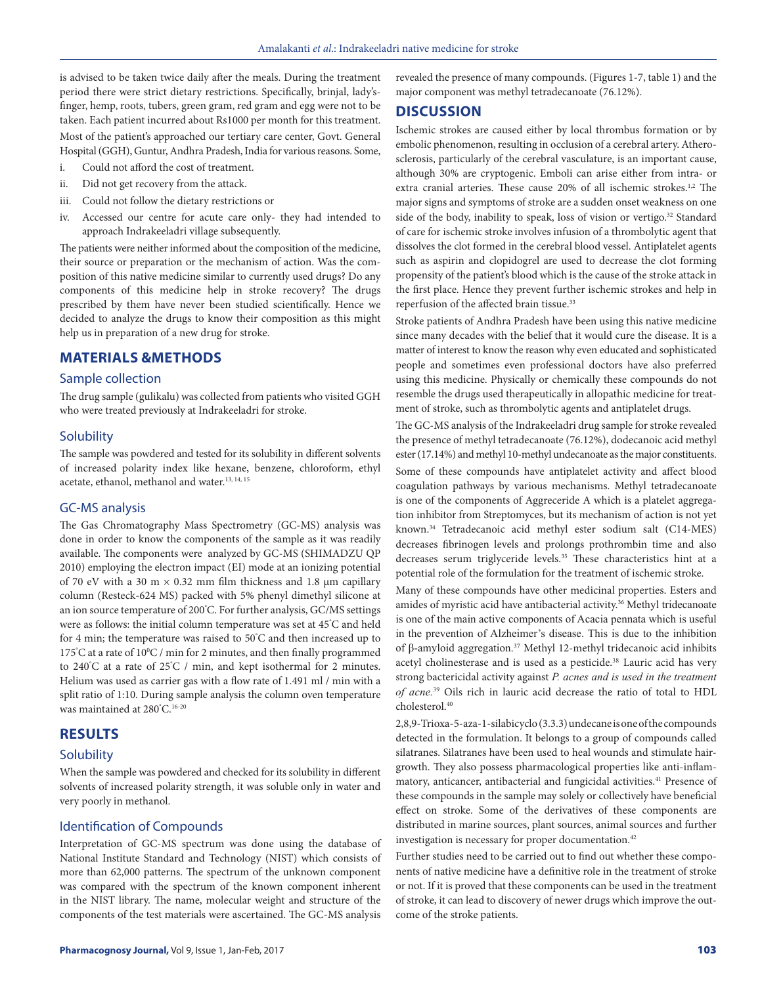is advised to be taken twice daily after the meals. During the treatment period there were strict dietary restrictions. Specifically, brinjal, lady'sfinger, hemp, roots, tubers, green gram, red gram and egg were not to be taken. Each patient incurred about Rs1000 per month for this treatment. Most of the patient's approached our tertiary care center, Govt. General Hospital (GGH), Guntur, Andhra Pradesh, India for various reasons. Some,

- i. Could not afford the cost of treatment. ii. Did not get recovery from the attack.
- 
- iii. Could not follow the dietary restrictions or
- iv. Accessed our centre for acute care only- they had intended to approach Indrakeeladri village subsequently.

The patients were neither informed about the composition of the medicine, their source or preparation or the mechanism of action. Was the composition of this native medicine similar to currently used drugs? Do any components of this medicine help in stroke recovery? The drugs prescribed by them have never been studied scientifically. Hence we decided to analyze the drugs to know their composition as this might help us in preparation of a new drug for stroke.

## **MATERIALS &METHODS**

## Sample collection

The drug sample (gulikalu) was collected from patients who visited GGH who were treated previously at Indrakeeladri for stroke.

#### **Solubility**

The sample was powdered and tested for its solubility in different solvents of increased polarity index like hexane, benzene, chloroform, ethyl acetate, ethanol, methanol and water.13, 14, 15

#### GC-MS analysis

The Gas Chromatography Mass Spectrometry (GC-MS) analysis was done in order to know the components of the sample as it was readily available. The components were analyzed by GC-MS (SHIMADZU QP 2010) employing the electron impact (EI) mode at an ionizing potential of 70 eV with a 30 m  $\times$  0.32 mm film thickness and 1.8 µm capillary column (Resteck-624 MS) packed with 5% phenyl dimethyl silicone at an ion source temperature of 200° C. For further analysis, GC/MS settings were as follows: the initial column temperature was set at 45° C and held for 4 min; the temperature was raised to 50° C and then increased up to 175°C at a rate of 10°C / min for 2 minutes, and then finally programmed to 240° C at a rate of 25° C / min, and kept isothermal for 2 minutes. Helium was used as carrier gas with a flow rate of 1.491 ml / min with a split ratio of 1:10. During sample analysis the column oven temperature was maintained at 280° C.16-20

## **RESULTS**

#### **Solubility**

When the sample was powdered and checked for its solubility in different solvents of increased polarity strength, it was soluble only in water and very poorly in methanol.

## Identification of Compounds

Interpretation of GC-MS spectrum was done using the database of National Institute Standard and Technology (NIST) which consists of more than 62,000 patterns. The spectrum of the unknown component was compared with the spectrum of the known component inherent in the NIST library. The name, molecular weight and structure of the components of the test materials were ascertained. The GC-MS analysis revealed the presence of many compounds. (Figures 1-7, table 1) and the major component was methyl tetradecanoate (76.12%).

## **DISCUSSION**

Ischemic strokes are caused either by local thrombus formation or by embolic phenomenon, resulting in occlusion of a cerebral artery. Atherosclerosis, particularly of the cerebral vasculature, is an important cause, although 30% are cryptogenic. Emboli can arise either from intra- or extra cranial arteries. These cause 20% of all ischemic strokes.<sup>1,2</sup> The major signs and symptoms of stroke are a sudden onset weakness on one side of the body, inability to speak, loss of vision or vertigo.<sup>32</sup> Standard of care for ischemic stroke involves infusion of a thrombolytic agent that dissolves the clot formed in the cerebral blood vessel. Antiplatelet agents such as aspirin and clopidogrel are used to decrease the clot forming propensity of the patient's blood which is the cause of the stroke attack in the first place. Hence they prevent further ischemic strokes and help in reperfusion of the affected brain tissue.<sup>33</sup>

Stroke patients of Andhra Pradesh have been using this native medicine since many decades with the belief that it would cure the disease. It is a matter of interest to know the reason why even educated and sophisticated people and sometimes even professional doctors have also preferred using this medicine. Physically or chemically these compounds do not resemble the drugs used therapeutically in allopathic medicine for treatment of stroke, such as thrombolytic agents and antiplatelet drugs.

The GC-MS analysis of the Indrakeeladri drug sample for stroke revealed the presence of methyl tetradecanoate (76.12%), dodecanoic acid methyl ester (17.14%) and methyl 10-methyl undecanoate as the major constituents. Some of these compounds have antiplatelet activity and affect blood coagulation pathways by various mechanisms. Methyl tetradecanoate is one of the components of Aggreceride A which is a platelet aggregation inhibitor from Streptomyces, but its mechanism of action is not yet known.34 Tetradecanoic acid methyl ester sodium salt (C14-MES) decreases fibrinogen levels and prolongs prothrombin time and also decreases serum triglyceride levels.<sup>35</sup> These characteristics hint at a potential role of the formulation for the treatment of ischemic stroke.

Many of these compounds have other medicinal properties. Esters and amides of myristic acid have antibacterial activity.<sup>36</sup> Methyl tridecanoate is one of the main active components of Acacia pennata which is useful in the prevention of Alzheimer's disease. This is due to the inhibition of β-amyloid aggregation.<sup>37</sup> Methyl 12-methyl tridecanoic acid inhibits acetyl cholinesterase and is used as a pesticide.<sup>38</sup> Lauric acid has very strong bactericidal activity against *P. acnes and is used in the treatment of acne.*<sup>39</sup> Oils rich in lauric acid decrease the ratio of total to HDL cholesterol.40

2,8,9-Trioxa-5-aza-1-silabicyclo (3.3.3) undecane is one of the compounds detected in the formulation. It belongs to a group of compounds called silatranes. Silatranes have been used to heal wounds and stimulate hairgrowth. They also possess pharmacological properties like anti-inflammatory, anticancer, antibacterial and fungicidal activities.<sup>41</sup> Presence of these compounds in the sample may solely or collectively have beneficial effect on stroke. Some of the derivatives of these components are distributed in marine sources, plant sources, animal sources and further investigation is necessary for proper documentation.<sup>42</sup>

Further studies need to be carried out to find out whether these components of native medicine have a definitive role in the treatment of stroke or not. If it is proved that these components can be used in the treatment of stroke, it can lead to discovery of newer drugs which improve the outcome of the stroke patients.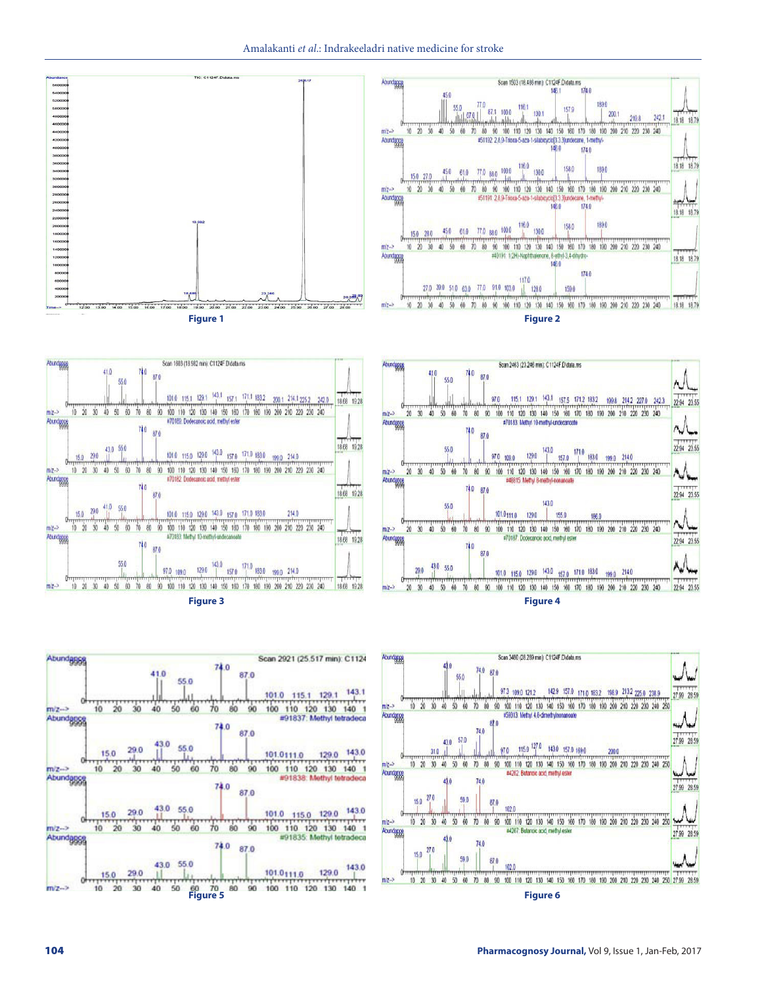















54001<br>52001<br>50001<br>48001<br>46001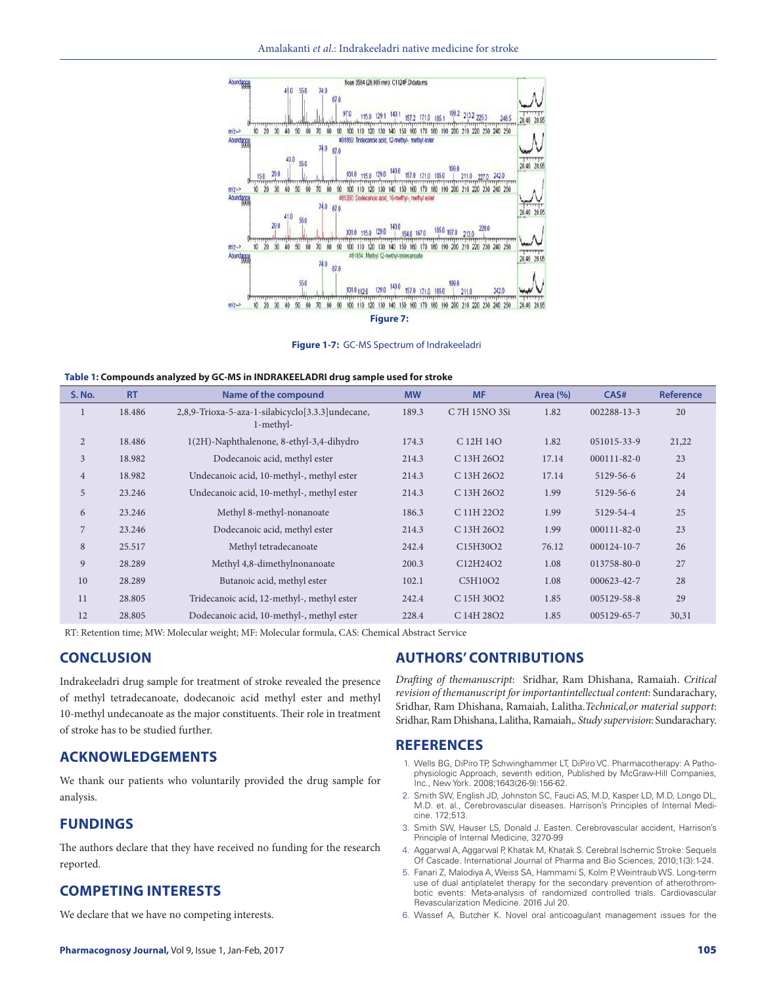

**Figure 1-7:** GC-MS Spectrum of Indrakeeladri

| <b>S. No.</b>  | <b>RT</b> | Name of the compound                                          | <b>MW</b> | <b>MF</b>     | Area $(\% )$ | CAS#              | <b>Reference</b> |
|----------------|-----------|---------------------------------------------------------------|-----------|---------------|--------------|-------------------|------------------|
|                | 18.486    | 2,8,9-Trioxa-5-aza-1-silabicyclo[3.3.3]undecane,<br>1-methyl- | 189.3     | C 7H 15NO 3Si | 1.82         | 002288-13-3       | 20               |
| $\overline{2}$ | 18.486    | 1(2H)-Naphthalenone, 8-ethyl-3,4-dihydro                      | 174.3     | C 12H 14O     | 1.82         | 051015-33-9       | 21,22            |
| $\mathfrak{Z}$ | 18.982    | Dodecanoic acid, methyl ester                                 | 214.3     | C 13H 26O2    | 17.14        | $000111 - 82 - 0$ | 23               |
| $\overline{4}$ | 18.982    | Undecanoic acid, 10-methyl-, methyl ester                     | 214.3     | C 13H 26O2    | 17.14        | 5129-56-6         | 24               |
| 5              | 23.246    | Undecanoic acid, 10-methyl-, methyl ester                     | 214.3     | C 13H 26O2    | 1.99         | 5129-56-6         | 24               |
| 6              | 23.246    | Methyl 8-methyl-nonanoate                                     | 186.3     | C 11H 22O2    | 1.99         | 5129-54-4         | 25               |
| 7              | 23.246    | Dodecanoic acid, methyl ester                                 | 214.3     | C 13H 26O2    | 1.99         | $000111 - 82 - 0$ | 23               |
| $\,8\,$        | 25.517    | Methyl tetradecanoate                                         | 242.4     | C15H30O2      | 76.12        | 000124-10-7       | 26               |
| 9              | 28.289    | Methyl 4,8-dimethylnonanoate                                  | 200.3     | C12H24O2      | 1.08         | 013758-80-0       | 27               |
| 10             | 28.289    | Butanoic acid, methyl ester                                   | 102.1     | C5H10O2       | 1.08         | 000623-42-7       | 28               |
| 11             | 28.805    | Tridecanoic acid, 12-methyl-, methyl ester                    | 242.4     | C 15H 30O2    | 1.85         | 005129-58-8       | 29               |
| 12             | 28.805    | Dodecanoic acid, 10-methyl-, methyl ester                     | 228.4     | C 14H 28O2    | 1.85         | 005129-65-7       | 30,31            |

RT: Retention time; MW: Molecular weight; MF: Molecular formula, CAS: Chemical Abstract Service

# **CONCLUSION**

Indrakeeladri drug sample for treatment of stroke revealed the presence of methyl tetradecanoate, dodecanoic acid methyl ester and methyl 10-methyl undecanoate as the major constituents. Their role in treatment of stroke has to be studied further.

## **ACKNOWLEDGEMENTS**

We thank our patients who voluntarily provided the drug sample for analysis.

# **FUNDINGS**

The authors declare that they have received no funding for the research reported.

## **COMPETING INTERESTS**

We declare that we have no competing interests.

# **AUTHORS' CONTRIBUTIONS**

*Drafting of themanuscript*: Sridhar, Ram Dhishana, Ramaiah. *Critical revision of themanuscript for importantintellectual content*: Sundarachary, Sridhar, Ram Dhishana, Ramaiah, Lalitha.*Technical,or material support*: Sridhar, Ram Dhishana, Lalitha, Ramaiah,. *Study supervision*: Sundarachary.

## **REFERENCES**

- 1. Wells BG, DiPiro TP, Schwinghammer LT, DiPiro VC. Pharmacotherapy: A Pathophysiologic Approach, seventh edition, Published by McGraw-Hill Companies, Inc., New York. 2008;1643(26-9):156-62.
- 2. Smith SW, English JD, Johnston SC, Fauci AS, M.D, Kasper LD, M.D, Longo DL, M.D. et. al., Cerebrovascular diseases. Harrison's Principles of Internal Medicine. 172;513.
- 3. Smith SW, Hauser LS, Donald J. Easten. Cerebrovascular accident, Harrison's Principle of Internal Medicine, 3270-99
- 4. Aggarwal A, Aggarwal P, Khatak M, Khatak S. Cerebral Ischemic Stroke: Sequels Of Cascade. International Journal of Pharma and Bio Sciences, 2010;1(3):1-24.
- 5. Fanari Z, Malodiya A, Weiss SA, Hammami S, Kolm P, Weintraub WS. Long-term use of dual antiplatelet therapy for the secondary prevention of atherothrombotic events: Meta-analysis of randomized controlled trials. Cardiovascular Revascularization Medicine. 2016 Jul 20.
- 6. Wassef A, Butcher K. Novel oral anticoagulant management issues for the